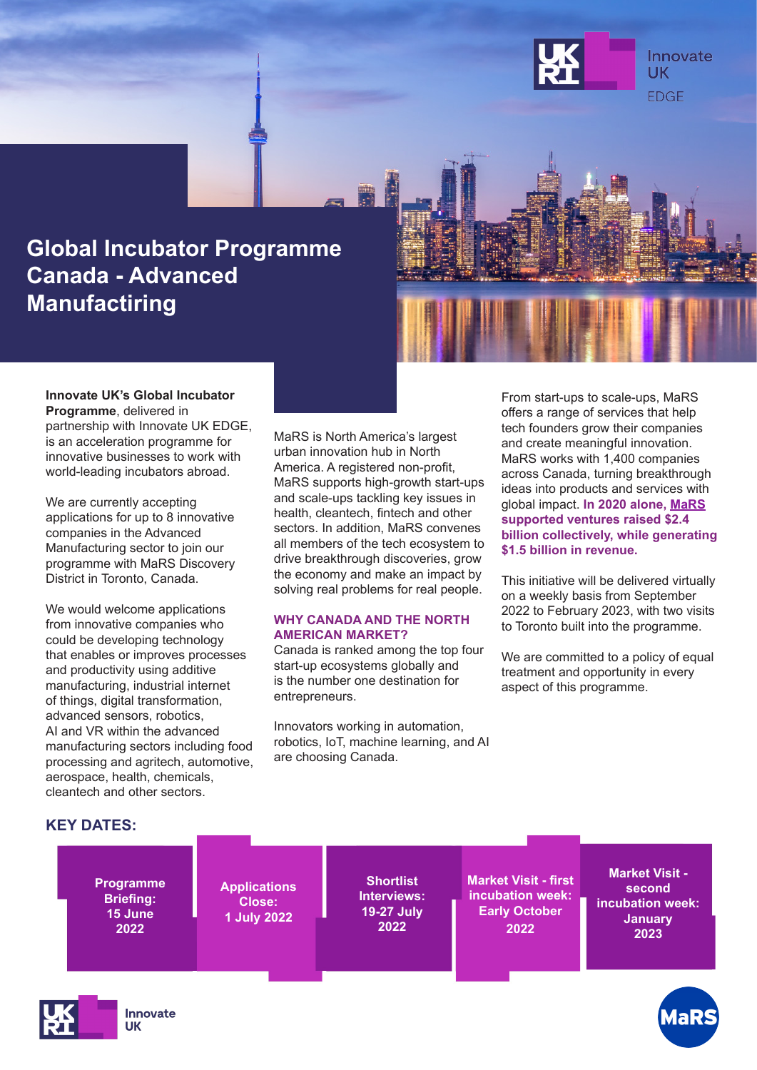

Innovate **UK EDGE** 

# **Global Incubator Programme Canada - Advanced Manufactiring**

#### **Innovate UK's Global Incubator Programme**, delivered in partnership with Innovate UK EDGE, is an acceleration programme for innovative businesses to work with world-leading incubators abroad.

We are currently accepting applications for up to 8 innovative companies in the Advanced Manufacturing sector to join our programme with MaRS Discovery District in Toronto, Canada.

We would welcome applications from innovative companies who could be developing technology that enables or improves processes and productivity using additive manufacturing, industrial internet of things, digital transformation, advanced sensors, robotics, AI and VR within the advanced manufacturing sectors including food processing and agritech, automotive, aerospace, health, chemicals, cleantech and other sectors.

MaRS is North America's largest urban innovation hub in North America. A registered non-profit. MaRS supports high-growth start-ups and scale-ups tackling key issues in health, cleantech, fintech and other sectors. In addition, MaRS convenes all members of the tech ecosystem to drive breakthrough discoveries, grow the economy and make an impact by solving real problems for real people.

#### **WHY CANADA AND THE NORTH AMERICAN MARKET?**

Canada is ranked among the top four start-up ecosystems globally and is the number one destination for entrepreneurs.

Innovators working in automation, robotics, IoT, machine learning, and AI are choosing Canada.

From start-ups to scale-ups, MaRS offers a range of services that help tech founders grow their companies and create meaningful innovation. MaRS works with 1,400 companies across Canada, turning breakthrough ideas into products and services with global impact. **In 2020 alone, [MaRS](https://marsdd.com/impact/) supported ventures raised \$2.4 billion collectively, while generating \$1.5 billion in revenue.**

This initiative will be delivered virtually on a weekly basis from September 2022 to February 2023, with two visits to Toronto built into the programme.

We are committed to a policy of equal treatment and opportunity in every aspect of this programme.

#### **KEY DATES:**

**Programme Briefing: 15 June 2022**

> Innovate **IIK**

**Applications Close: 1 July 2022**

**Shortlist Interviews: 19-27 July 2022**

**Market Visit - first incubation week: Early October 2022**

**Market Visit second incubation week: January 2023**